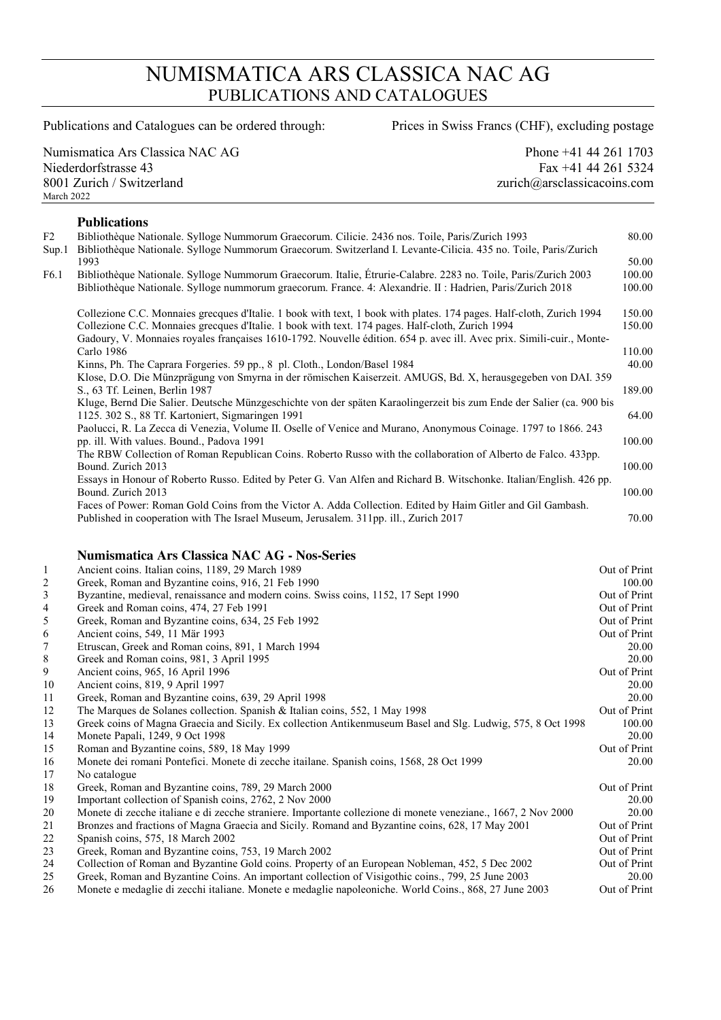## NUMISMATICA ARS CLASSICA NAC AG PUBLICATIONS AND CATALOGUES

Publications and Catalogues can be ordered through: Prices in Swiss Francs (CHF), excluding postage

Numismatica Ars Classica NAC AG Phone +41 44 261 1703 Niederdorfstrasse 43 Fax +41 44 261 5324 8001 Zurich / Switzerland zurich@arsclassicacoins.com March 2022

## **Publications**

| F2<br>Sup.1 | Bibliothèque Nationale. Sylloge Nummorum Graecorum. Cilicie. 2436 nos. Toile, Paris/Zurich 1993<br>Bibliothèque Nationale. Sylloge Nummorum Graecorum. Switzerland I. Levante-Cilicia. 435 no. Toile, Paris/Zurich | 80.00  |
|-------------|--------------------------------------------------------------------------------------------------------------------------------------------------------------------------------------------------------------------|--------|
|             | 1993                                                                                                                                                                                                               | 50.00  |
| F6.1        | Bibliothèque Nationale. Sylloge Nummorum Graecorum. Italie, Étrurie-Calabre. 2283 no. Toile, Paris/Zurich 2003                                                                                                     | 100.00 |
|             | Bibliothèque Nationale. Sylloge nummorum graecorum. France. 4: Alexandrie. II : Hadrien, Paris/Zurich 2018                                                                                                         | 100.00 |
|             | Collezione C.C. Monnaies greegues d'Italie. 1 book with text, 1 book with plates. 174 pages. Half-cloth, Zurich 1994                                                                                               | 150.00 |
|             | Collezione C.C. Monnaies grecques d'Italie. 1 book with text. 174 pages. Half-cloth, Zurich 1994                                                                                                                   | 150.00 |
|             | Gadoury, V. Monnaies royales françaises 1610-1792. Nouvelle édition. 654 p. avec ill. Avec prix. Simili-cuir., Monte-                                                                                              |        |
|             | Carlo 1986                                                                                                                                                                                                         | 110.00 |
|             | Kinns, Ph. The Caprara Forgeries. 59 pp., 8 pl. Cloth., London/Basel 1984                                                                                                                                          | 40.00  |
|             | Klose, D.O. Die Münzprägung von Smyrna in der römischen Kaiserzeit. AMUGS, Bd. X, herausgegeben von DAI. 359                                                                                                       |        |
|             | S., 63 Tf. Leinen, Berlin 1987                                                                                                                                                                                     | 189.00 |
|             | Kluge, Bernd Die Salier. Deutsche Münzgeschichte von der späten Karaolingerzeit bis zum Ende der Salier (ca. 900 bis                                                                                               |        |
|             | 1125. 302 S., 88 Tf. Kartoniert, Sigmaringen 1991                                                                                                                                                                  | 64.00  |
|             | Paolucci, R. La Zecca di Venezia, Volume II. Oselle of Venice and Murano, Anonymous Coinage. 1797 to 1866. 243                                                                                                     |        |
|             | pp. ill. With values. Bound., Padova 1991                                                                                                                                                                          | 100.00 |
|             | The RBW Collection of Roman Republican Coins. Roberto Russo with the collaboration of Alberto de Falco. 433pp.                                                                                                     |        |
|             | Bound. Zurich 2013                                                                                                                                                                                                 | 100.00 |
|             | Essays in Honour of Roberto Russo. Edited by Peter G. Van Alfen and Richard B. Witschonke. Italian/English. 426 pp.                                                                                                |        |
|             | Bound. Zurich 2013                                                                                                                                                                                                 | 100.00 |
|             | Faces of Power: Roman Gold Coins from the Victor A. Adda Collection. Edited by Haim Gitler and Gil Gambash.                                                                                                        |        |
|             | Published in cooperation with The Israel Museum, Jerusalem. 311pp. ill., Zurich 2017                                                                                                                               | 70.00  |
|             |                                                                                                                                                                                                                    |        |

## **Numismatica Ars Classica NAC AG - Nos-Series**

| 1                        | Ancient coins. Italian coins, 1189, 29 March 1989                                                             | Out of Print |
|--------------------------|---------------------------------------------------------------------------------------------------------------|--------------|
| $\overline{c}$           | Greek, Roman and Byzantine coins, 916, 21 Feb 1990                                                            | 100.00       |
| 3                        | Byzantine, medieval, renaissance and modern coins. Swiss coins, 1152, 17 Sept 1990                            | Out of Print |
| $\overline{\mathcal{A}}$ | Greek and Roman coins, 474, 27 Feb 1991                                                                       | Out of Print |
| 5                        | Greek, Roman and Byzantine coins, 634, 25 Feb 1992                                                            | Out of Print |
| 6                        | Ancient coins, 549, 11 Mär 1993                                                                               | Out of Print |
| $\tau$                   | Etruscan, Greek and Roman coins, 891, 1 March 1994                                                            | 20.00        |
| 8                        | Greek and Roman coins, 981, 3 April 1995                                                                      | 20.00        |
| 9                        | Ancient coins, 965, 16 April 1996                                                                             | Out of Print |
| 10                       | Ancient coins, 819, 9 April 1997                                                                              | 20.00        |
| 11                       | Greek, Roman and Byzantine coins, 639, 29 April 1998                                                          | 20.00        |
| 12                       | The Marques de Solanes collection. Spanish & Italian coins, 552, 1 May 1998                                   | Out of Print |
| 13                       | Greek coins of Magna Graecia and Sicily. Ex collection Antikenmuseum Basel and Slg. Ludwig, 575, 8 Oct 1998   | 100.00       |
| 14                       | Monete Papali, 1249, 9 Oct 1998                                                                               | 20.00        |
| 15                       | Roman and Byzantine coins, 589, 18 May 1999                                                                   | Out of Print |
| 16                       | Monete dei romani Pontefici. Monete di zecche itailane. Spanish coins, 1568, 28 Oct 1999                      | 20.00        |
| 17                       | No catalogue                                                                                                  |              |
| 18                       | Greek, Roman and Byzantine coins, 789, 29 March 2000                                                          | Out of Print |
| 19                       | Important collection of Spanish coins, 2762, 2 Nov 2000                                                       | 20.00        |
| 20                       | Monete di zecche italiane e di zecche straniere. Importante collezione di monete veneziane., 1667, 2 Nov 2000 | 20.00        |
| 21                       | Bronzes and fractions of Magna Graecia and Sicily. Romand and Byzantine coins, 628, 17 May 2001               | Out of Print |
| 22                       | Spanish coins, 575, 18 March 2002                                                                             | Out of Print |
| 23                       | Greek, Roman and Byzantine coins, 753, 19 March 2002                                                          | Out of Print |
| 24                       | Collection of Roman and Byzantine Gold coins. Property of an European Nobleman, 452, 5 Dec 2002               | Out of Print |
| 25                       | Greek, Roman and Byzantine Coins. An important collection of Visigothic coins., 799, 25 June 2003             | 20.00        |
| 26                       | Monete e medaglie di zecchi italiane. Monete e medaglie napoleoniche. World Coins., 868, 27 June 2003         | Out of Print |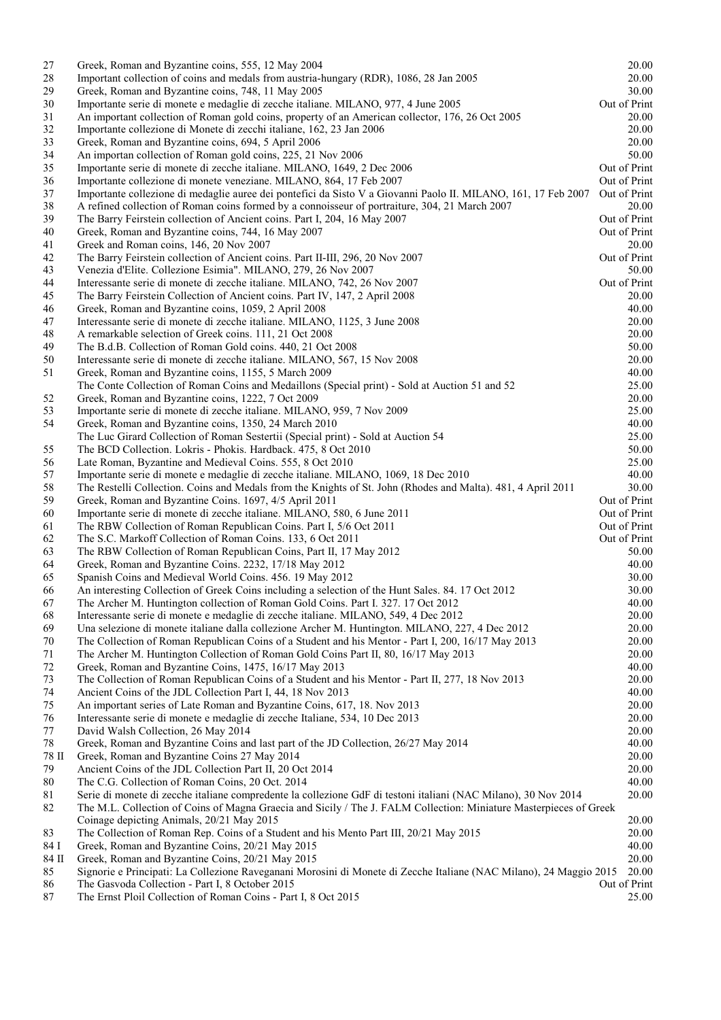| 27              | Greek, Roman and Byzantine coins, 555, 12 May 2004                                                                                                              | 20.00                 |
|-----------------|-----------------------------------------------------------------------------------------------------------------------------------------------------------------|-----------------------|
| 28              | Important collection of coins and medals from austria-hungary (RDR), 1086, 28 Jan 2005                                                                          | 20.00                 |
| 29              | Greek, Roman and Byzantine coins, 748, 11 May 2005                                                                                                              | 30.00                 |
| 30              | Importante serie di monete e medaglie di zecche italiane. MILANO, 977, 4 June 2005                                                                              | Out of Print          |
| 31              | An important collection of Roman gold coins, property of an American collector, 176, 26 Oct 2005                                                                | 20.00                 |
| 32              | Importante collezione di Monete di zecchi italiane, 162, 23 Jan 2006                                                                                            | 20.00                 |
| 33              | Greek, Roman and Byzantine coins, 694, 5 April 2006                                                                                                             | 20.00                 |
| 34              | An importan collection of Roman gold coins, 225, 21 Nov 2006                                                                                                    | 50.00                 |
| 35              | Importante serie di monete di zecche italiane. MILANO, 1649, 2 Dec 2006                                                                                         | Out of Print          |
| 36              | Importante collezione di monete veneziane. MILANO, 864, 17 Feb 2007                                                                                             | Out of Print          |
| 37              | Importante collezione di medaglie auree dei pontefici da Sisto V a Giovanni Paolo II. MILANO, 161, 17 Feb 2007                                                  | Out of Print          |
| 38              | A refined collection of Roman coins formed by a connoisseur of portraiture, 304, 21 March 2007                                                                  | 20.00                 |
| 39              | The Barry Feirstein collection of Ancient coins. Part I, 204, 16 May 2007                                                                                       | Out of Print          |
| 40              | Greek, Roman and Byzantine coins, 744, 16 May 2007                                                                                                              | Out of Print          |
| 41              | Greek and Roman coins, 146, 20 Nov 2007                                                                                                                         | 20.00                 |
| 42              | The Barry Feirstein collection of Ancient coins. Part II-III, 296, 20 Nov 2007                                                                                  | Out of Print          |
| 43              | Venezia d'Elite. Collezione Esimia". MILANO, 279, 26 Nov 2007                                                                                                   | 50.00<br>Out of Print |
| 44<br>45        | Interessante serie di monete di zecche italiane. MILANO, 742, 26 Nov 2007<br>The Barry Feirstein Collection of Ancient coins. Part IV, 147, 2 April 2008        | 20.00                 |
| 46              | Greek, Roman and Byzantine coins, 1059, 2 April 2008                                                                                                            | 40.00                 |
| 47              | Interessante serie di monete di zecche italiane. MILANO, 1125, 3 June 2008                                                                                      | 20.00                 |
| 48              | A remarkable selection of Greek coins. 111, 21 Oct 2008                                                                                                         | 20.00                 |
| 49              | The B.d.B. Collection of Roman Gold coins. 440, 21 Oct 2008                                                                                                     | 50.00                 |
| 50              | Interessante serie di monete di zecche italiane. MILANO, 567, 15 Nov 2008                                                                                       | 20.00                 |
| 51              | Greek, Roman and Byzantine coins, 1155, 5 March 2009                                                                                                            | 40.00                 |
|                 | The Conte Collection of Roman Coins and Medaillons (Special print) - Sold at Auction 51 and 52                                                                  | 25.00                 |
| 52              | Greek, Roman and Byzantine coins, 1222, 7 Oct 2009                                                                                                              | 20.00                 |
| 53              | Importante serie di monete di zecche italiane. MILANO, 959, 7 Nov 2009                                                                                          | 25.00                 |
| 54              | Greek, Roman and Byzantine coins, 1350, 24 March 2010                                                                                                           | 40.00                 |
|                 | The Luc Girard Collection of Roman Sestertii (Special print) - Sold at Auction 54                                                                               | 25.00                 |
| 55              | The BCD Collection. Lokris - Phokis. Hardback. 475, 8 Oct 2010                                                                                                  | 50.00                 |
| 56              | Late Roman, Byzantine and Medieval Coins. 555, 8 Oct 2010                                                                                                       | 25.00                 |
| 57              | Importante serie di monete e medaglie di zecche italiane. MILANO, 1069, 18 Dec 2010                                                                             | 40.00                 |
| 58              | The Restelli Collection. Coins and Medals from the Knights of St. John (Rhodes and Malta). 481, 4 April 2011                                                    | 30.00                 |
| 59              | Greek, Roman and Byzantine Coins. 1697, 4/5 April 2011                                                                                                          | Out of Print          |
| 60              | Importante serie di monete di zecche italiane. MILANO, 580, 6 June 2011                                                                                         | Out of Print          |
| 61              | The RBW Collection of Roman Republican Coins. Part I, 5/6 Oct 2011                                                                                              | Out of Print          |
| 62              | The S.C. Markoff Collection of Roman Coins. 133, 6 Oct 2011                                                                                                     | Out of Print          |
| 63              | The RBW Collection of Roman Republican Coins, Part II, 17 May 2012                                                                                              | 50.00                 |
| 64              | Greek, Roman and Byzantine Coins. 2232, 17/18 May 2012                                                                                                          | 40.00                 |
| 65              | Spanish Coins and Medieval World Coins. 456. 19 May 2012                                                                                                        | 30.00                 |
| 66              | An interesting Collection of Greek Coins including a selection of the Hunt Sales. 84. 17 Oct 2012                                                               | 30.00                 |
| 67              | The Archer M. Huntington collection of Roman Gold Coins. Part I. 327. 17 Oct 2012                                                                               | 40.00                 |
| 68              | Interessante serie di monete e medaglie di zecche italiane. MILANO, 549, 4 Dec 2012                                                                             | 20.00                 |
| 69              | Una selezione di monete italiane dalla collezione Archer M. Huntington. MILANO, 227, 4 Dec 2012                                                                 | 20.00                 |
| 70              | The Collection of Roman Republican Coins of a Student and his Mentor - Part I, 200, 16/17 May 2013                                                              | 20.00                 |
| 71<br>72        | The Archer M. Huntington Collection of Roman Gold Coins Part II, 80, 16/17 May 2013                                                                             | 20.00                 |
| 73              | Greek, Roman and Byzantine Coins, 1475, 16/17 May 2013                                                                                                          | 40.00<br>20.00        |
| 74              | The Collection of Roman Republican Coins of a Student and his Mentor - Part II, 277, 18 Nov 2013<br>Ancient Coins of the JDL Collection Part I, 44, 18 Nov 2013 | 40.00                 |
| 75              | An important series of Late Roman and Byzantine Coins, 617, 18. Nov 2013                                                                                        | 20.00                 |
| 76              | Interessante serie di monete e medaglie di zecche Italiane, 534, 10 Dec 2013                                                                                    | 20.00                 |
| 77              | David Walsh Collection, 26 May 2014                                                                                                                             | 20.00                 |
| 78              | Greek, Roman and Byzantine Coins and last part of the JD Collection, 26/27 May 2014                                                                             | 40.00                 |
| $78 \; \rm{II}$ | Greek, Roman and Byzantine Coins 27 May 2014                                                                                                                    | 20.00                 |
| 79              | Ancient Coins of the JDL Collection Part II, 20 Oct 2014                                                                                                        | 20.00                 |
| 80              | The C.G. Collection of Roman Coins, 20 Oct. 2014                                                                                                                | 40.00                 |
| 81              | Serie di monete di zecche italiane compredente la collezione GdF di testoni italiani (NAC Milano), 30 Nov 2014                                                  | 20.00                 |
| 82              | The M.L. Collection of Coins of Magna Graecia and Sicily / The J. FALM Collection: Miniature Masterpieces of Greek                                              |                       |
|                 | Coinage depicting Animals, 20/21 May 2015                                                                                                                       | 20.00                 |
| 83              | The Collection of Roman Rep. Coins of a Student and his Mento Part III, 20/21 May 2015                                                                          | 20.00                 |
| 84 I            | Greek, Roman and Byzantine Coins, 20/21 May 2015                                                                                                                | 40.00                 |
| 84 II           | Greek, Roman and Byzantine Coins, 20/21 May 2015                                                                                                                | 20.00                 |
| 85              | Signorie e Principati: La Collezione Raveganani Morosini di Monete di Zecche Italiane (NAC Milano), 24 Maggio 2015                                              | 20.00                 |
| 86              | The Gasvoda Collection - Part I, 8 October 2015                                                                                                                 | Out of Print          |
| 87              | The Ernst Ploil Collection of Roman Coins - Part I, 8 Oct 2015                                                                                                  | 25.00                 |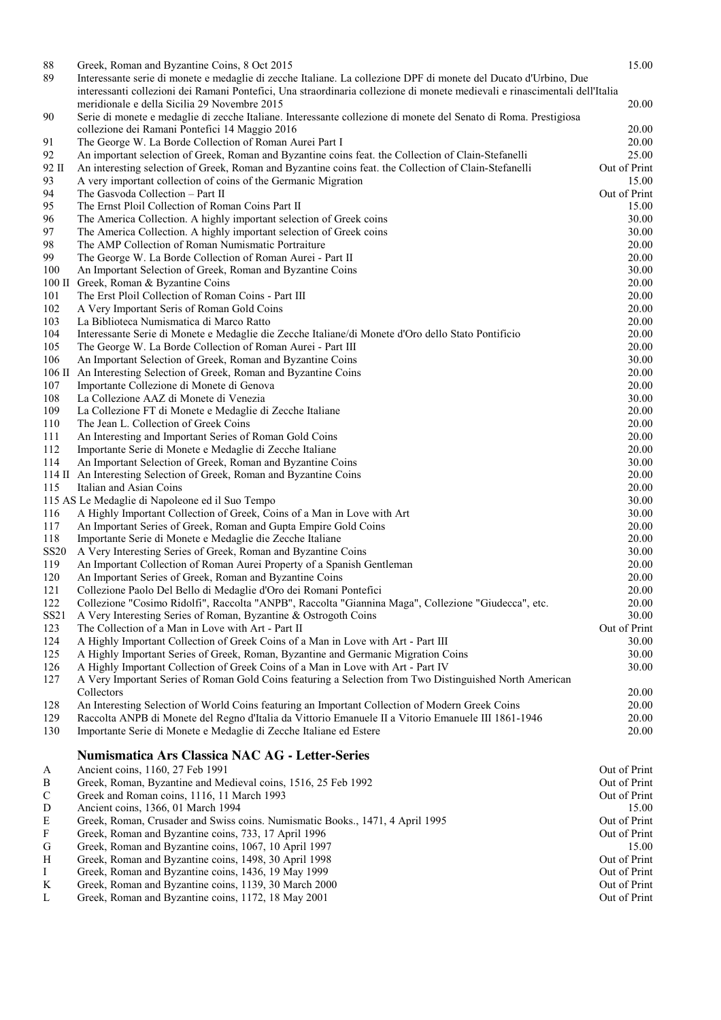| $88\,$                    | Greek, Roman and Byzantine Coins, 8 Oct 2015                                                                                | 15.00        |
|---------------------------|-----------------------------------------------------------------------------------------------------------------------------|--------------|
| 89                        | Interessante serie di monete e medaglie di zecche Italiane. La collezione DPF di monete del Ducato d'Urbino, Due            |              |
|                           | interessanti collezioni dei Ramani Pontefici, Una straordinaria collezione di monete medievali e rinascimentali dell'Italia |              |
|                           | meridionale e della Sicilia 29 Novembre 2015                                                                                | 20.00        |
| 90                        | Serie di monete e medaglie di zecche Italiane. Interessante collezione di monete del Senato di Roma. Prestigiosa            |              |
|                           | collezione dei Ramani Pontefici 14 Maggio 2016                                                                              | 20.00        |
| 91                        | The George W. La Borde Collection of Roman Aurei Part I                                                                     | 20.00        |
| 92                        | An important selection of Greek, Roman and Byzantine coins feat. the Collection of Clain-Stefanelli                         | 25.00        |
| 92 II                     | An interesting selection of Greek, Roman and Byzantine coins feat. the Collection of Clain-Stefanelli                       | Out of Print |
| 93                        | A very important collection of coins of the Germanic Migration                                                              | 15.00        |
| 94                        | The Gasvoda Collection - Part II                                                                                            | Out of Print |
| 95                        | The Ernst Ploil Collection of Roman Coins Part II                                                                           | 15.00        |
| 96                        | The America Collection. A highly important selection of Greek coins                                                         | 30.00        |
| 97                        | The America Collection. A highly important selection of Greek coins                                                         | 30.00        |
| 98                        | The AMP Collection of Roman Numismatic Portraiture                                                                          | 20.00        |
| 99                        | The George W. La Borde Collection of Roman Aurei - Part II                                                                  | 20.00        |
| 100                       | An Important Selection of Greek, Roman and Byzantine Coins                                                                  | 30.00        |
| $100$ II                  | Greek, Roman & Byzantine Coins                                                                                              | 20.00        |
| 101                       | The Erst Ploil Collection of Roman Coins - Part III                                                                         | 20.00        |
| 102                       | A Very Important Seris of Roman Gold Coins                                                                                  | 20.00        |
| 103                       | La Biblioteca Numismatica di Marco Ratto                                                                                    | 20.00        |
| 104                       | Interessante Serie di Monete e Medaglie die Zecche Italiane/di Monete d'Oro dello Stato Pontificio                          | 20.00        |
| 105                       | The George W. La Borde Collection of Roman Aurei - Part III                                                                 | 20.00        |
| 106                       | An Important Selection of Greek, Roman and Byzantine Coins                                                                  | 30.00        |
| $106 \, \mathrm{II}$      | An Interesting Selection of Greek, Roman and Byzantine Coins                                                                | 20.00        |
| 107                       | Importante Collezione di Monete di Genova                                                                                   | 20.00        |
| 108                       | La Collezione AAZ di Monete di Venezia                                                                                      | 30.00        |
| 109                       | La Collezione FT di Monete e Medaglie di Zecche Italiane                                                                    | 20.00        |
| 110                       | The Jean L. Collection of Greek Coins                                                                                       | 20.00        |
| 111                       | An Interesting and Important Series of Roman Gold Coins                                                                     | 20.00        |
| 112                       | Importante Serie di Monete e Medaglie di Zecche Italiane                                                                    | 20.00        |
| 114                       | An Important Selection of Greek, Roman and Byzantine Coins                                                                  | 30.00        |
| 114 П                     | An Interesting Selection of Greek, Roman and Byzantine Coins                                                                | 20.00        |
| 115                       | Italian and Asian Coins                                                                                                     | 20.00        |
|                           | 115 AS Le Medaglie di Napoleone ed il Suo Tempo                                                                             | 30.00        |
| 116                       | A Highly Important Collection of Greek, Coins of a Man in Love with Art                                                     | 30.00        |
| 117                       | An Important Series of Greek, Roman and Gupta Empire Gold Coins                                                             | 20.00        |
| 118                       | Importante Serie di Monete e Medaglie die Zecche Italiane                                                                   | 20.00        |
| <b>SS20</b>               | A Very Interesting Series of Greek, Roman and Byzantine Coins                                                               | 30.00        |
| 119                       | An Important Collection of Roman Aurei Property of a Spanish Gentleman                                                      | 20.00        |
| 120                       | An Important Series of Greek, Roman and Byzantine Coins                                                                     | 20.00        |
| 121                       | Collezione Paolo Del Bello di Medaglie d'Oro dei Romani Pontefici                                                           | 20.00        |
| 122                       | Collezione "Cosimo Ridolfi", Raccolta "ANPB", Raccolta "Giannina Maga", Collezione "Giudecca", etc.                         | 20.00        |
| SS <sub>21</sub>          | A Very Interesting Series of Roman, Byzantine & Ostrogoth Coins                                                             | 30.00        |
| 123                       | The Collection of a Man in Love with Art - Part II                                                                          | Out of Print |
| 124                       | A Highly Important Collection of Greek Coins of a Man in Love with Art - Part III                                           | 30.00        |
| 125                       | A Highly Important Series of Greek, Roman, Byzantine and Germanic Migration Coins                                           | 30.00        |
| 126                       | A Highly Important Collection of Greek Coins of a Man in Love with Art - Part IV                                            | 30.00        |
| 127                       | A Very Important Series of Roman Gold Coins featuring a Selection from Two Distinguished North American                     |              |
|                           | Collectors                                                                                                                  | 20.00        |
| 128                       | An Interesting Selection of World Coins featuring an Important Collection of Modern Greek Coins                             | 20.00        |
| 129                       | Raccolta ANPB di Monete del Regno d'Italia da Vittorio Emanuele II a Vitorio Emanuele III 1861-1946                         | 20.00        |
| 130                       | Importante Serie di Monete e Medaglie di Zecche Italiane ed Estere                                                          | 20.00        |
|                           |                                                                                                                             |              |
|                           | Numismatica Ars Classica NAC AG - Letter-Series                                                                             |              |
| A                         | Ancient coins, 1160, 27 Feb 1991                                                                                            | Out of Print |
| B                         | Greek, Roman, Byzantine and Medieval coins, 1516, 25 Feb 1992                                                               | Out of Print |
| $\mathbf C$               | Greek and Roman coins, 1116, 11 March 1993                                                                                  | Out of Print |
| D                         | Ancient coins, 1366, 01 March 1994                                                                                          | 15.00        |
| ${\bf E}$                 | Greek, Roman, Crusader and Swiss coins. Numismatic Books., 1471, 4 April 1995                                               | Out of Print |
| $\boldsymbol{\mathrm{F}}$ | Greek, Roman and Byzantine coins, 733, 17 April 1996                                                                        | Out of Print |
| G                         | Greek, Roman and Byzantine coins, 1067, 10 April 1997                                                                       | 15.00        |
| H                         | Greek, Roman and Byzantine coins, 1498, 30 April 1998                                                                       | Out of Print |
| I                         | Greek, Roman and Byzantine coins, 1436, 19 May 1999                                                                         | Out of Print |
| $\bf K$                   | Greek, Roman and Byzantine coins, 1139, 30 March 2000                                                                       | Out of Print |
|                           |                                                                                                                             |              |
| L                         | Greek, Roman and Byzantine coins, 1172, 18 May 2001                                                                         | Out of Print |